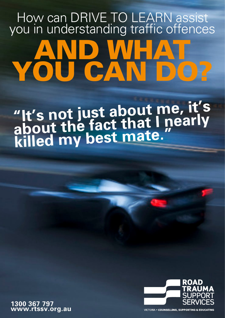## How can DRIVE TO LEARN assist you in understanding traffic offences AND WHAT YOU CAN DO?

### **"It's not just about me, it's about the fact that I nearly killed my best mate."**

**1300 367 797 www.rtssv.org.au**



**VICTORIA . COUNSELLING, SUPPORTING & EDUCATING**